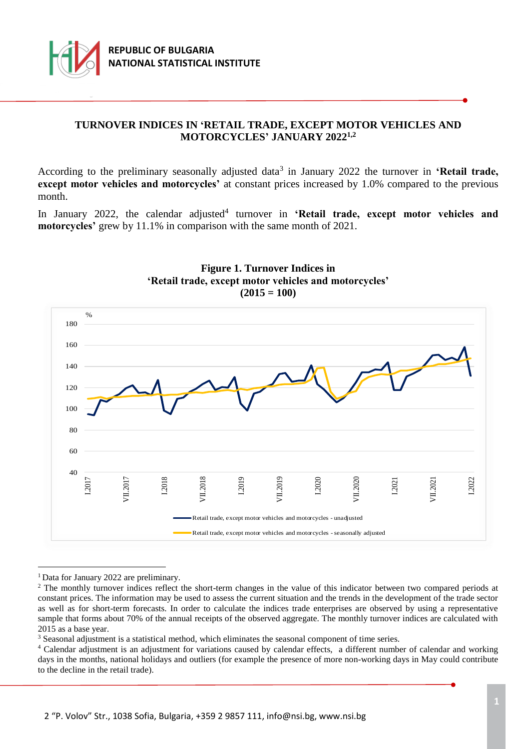

## **TURNOVER INDICES IN 'RETAIL TRADE, EXCEPT MOTOR VEHICLES AND MOTORCYCLES' JANUARY 2022 1,2**

According to the preliminary seasonally adjusted data<sup>3</sup> in January 2022 the turnover in 'Retail trade, **except motor vehicles and motorcycles'** at constant prices increased by 1.0% compared to the previous month.

In January 2022, the calendar adjusted<sup>4</sup> turnover in 'Retail trade, except motor vehicles and **motorcycles'** grew by 11.1% in comparison with the same month of 2021.



#### **Figure 1. Turnover Indices in 'Retail trade, except motor vehicles and motorcycles' (2015 = 100)**

<sup>1</sup> Data for January 2022 are preliminary.

i

<sup>3</sup> Seasonal adjustment is a statistical method, which eliminates the seasonal component of time series.

<sup>&</sup>lt;sup>2</sup> The monthly turnover indices reflect the short-term changes in the value of this indicator between two compared periods at constant prices. The information may be used to assess the current situation and the trends in the development of the trade sector as well as for short-term forecasts. In order to calculate the indices trade enterprises are observed by using a representative sample that forms about 70% of the annual receipts of the observed aggregate. The monthly turnover indices are calculated with 2015 as a base year.

<sup>&</sup>lt;sup>4</sup> Calendar adjustment is an adjustment for variations caused by calendar effects, a different number of calendar and working days in the months, national holidays and outliers (for example the presence of more non-working days in May could contribute to the decline in the retail trade).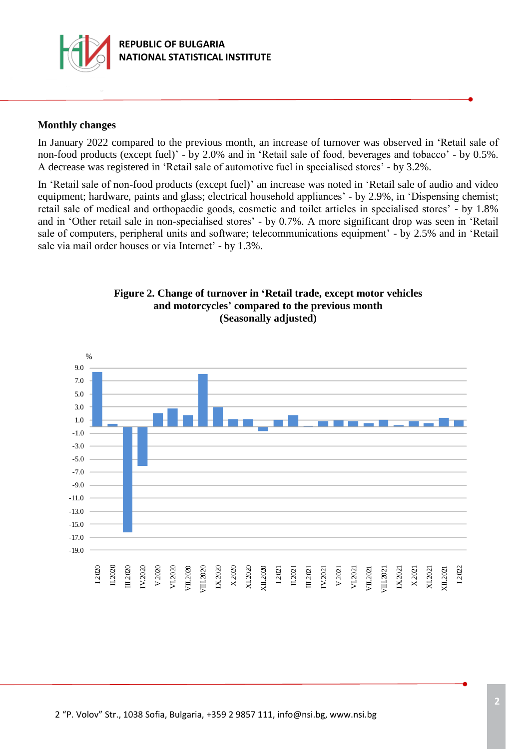

### **Monthly changes**

In January 2022 compared to the previous month, an increase of turnover was observed in 'Retail sale of non-food products (except fuel)' - by 2.0% and in 'Retail sale of food, beverages and tobacco' - by 0.5%. А decrease was registered in 'Retail sale of automotive fuel in specialised stores' - by 3.2%.

In 'Retail sale of non-food products (except fuel)' an increase was noted in 'Retail sale of audio and video equipment; hardware, paints and glass; electrical household appliances' - by 2.9%, in 'Dispensing chemist; retail sale of medical and orthopaedic goods, cosmetic and toilet articles in specialised stores' - by 1.8% and in 'Other retail sale in non-specialised stores' - by 0.7%. A more significant drop was seen in 'Retail sale of computers, peripheral units and software; telecommunications equipment' - by 2.5% and in 'Retail sale via mail order houses or via Internet' - by 1.3%.



#### **Figure 2. Change of turnover in 'Retail trade, except motor vehicles and motorcycles' compared to the previous month (Seasonally adjusted)**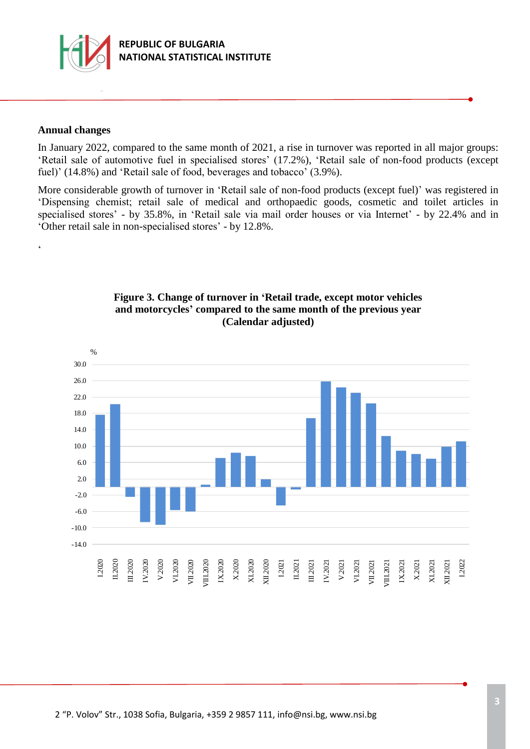

#### **Annual changes**

 $\epsilon$ 

In January 2022, compared to the same month of 2021, a rise in turnover was reported in all major groups: 'Retail sale of automotive fuel in specialised stores' (17.2%), 'Retail sale of non-food products (except fuel)' (14.8%) and 'Retail sale of food, beverages and tobacco' (3.9%).

More considerable growth of turnover in 'Retail sale of non-food products (except fuel)' was registered in 'Dispensing chemist; retail sale of medical and orthopaedic goods, cosmetic and toilet articles in specialised stores' - by 35.8%, in 'Retail sale via mail order houses or via Internet' - by 22.4% and in 'Other retail sale in non-specialised stores' - by 12.8%.



### **Figure 3. Change of turnover in 'Retail trade, except motor vehicles and motorcycles' compared to the same month of the previous year (Calendar adjusted)**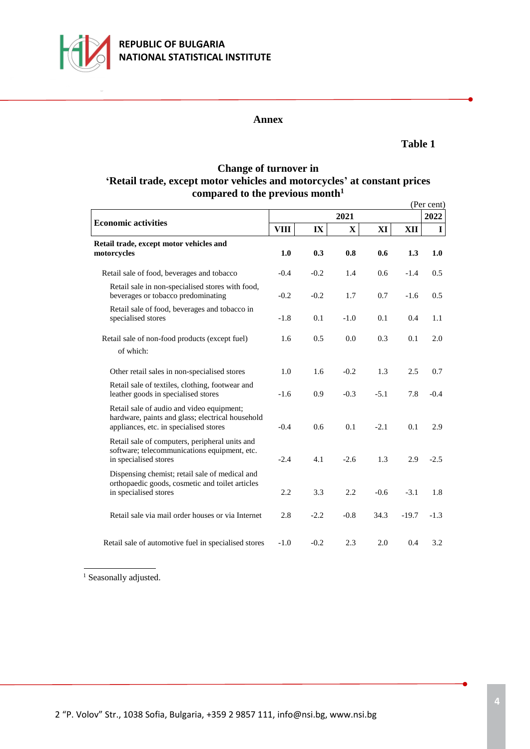

# **REPUBLIC OF BULGARIA NATIONAL STATISTICAL INSTITUTE**

#### **Annex**

#### **Table 1**

### **Change of turnover in 'Retail trade, except motor vehicles and motorcycles' at constant prices compared to the previous month<sup>1</sup>**

|                                                                                                                                         |             |        |             |        |         | (Per cent)    |
|-----------------------------------------------------------------------------------------------------------------------------------------|-------------|--------|-------------|--------|---------|---------------|
| <b>Economic activities</b>                                                                                                              |             |        | 2022        |        |         |               |
|                                                                                                                                         | <b>VIII</b> | IX     | $\mathbf X$ | XI     | XII     | $\mathbf I$   |
| Retail trade, except motor vehicles and<br>motorcycles                                                                                  | 1.0         | 0.3    | 0.8         | 0.6    | 1.3     | 1.0           |
| Retail sale of food, beverages and tobacco                                                                                              | $-0.4$      | $-0.2$ | 1.4         | 0.6    | $-1.4$  | $0.5^{\circ}$ |
| Retail sale in non-specialised stores with food,<br>beverages or tobacco predominating                                                  | $-0.2$      | $-0.2$ | 1.7         | 0.7    | $-1.6$  | 0.5           |
| Retail sale of food, beverages and tobacco in<br>specialised stores                                                                     | $-1.8$      | 0.1    | $-1.0$      | 0.1    | 0.4     | 1.1           |
| Retail sale of non-food products (except fuel)<br>of which:                                                                             | 1.6         | 0.5    | 0.0         | 0.3    | 0.1     | 2.0           |
| Other retail sales in non-specialised stores                                                                                            | 1.0         | 1.6    | $-0.2$      | 1.3    | 2.5     | 0.7           |
| Retail sale of textiles, clothing, footwear and<br>leather goods in specialised stores                                                  | $-1.6$      | 0.9    | $-0.3$      | $-5.1$ | 7.8     | $-0.4$        |
| Retail sale of audio and video equipment;<br>hardware, paints and glass; electrical household<br>appliances, etc. in specialised stores | $-0.4$      | 0.6    | 0.1         | $-2.1$ | 0.1     | 2.9           |
| Retail sale of computers, peripheral units and<br>software; telecommunications equipment, etc.<br>in specialised stores                 | $-2.4$      | 4.1    | $-2.6$      | 1.3    | 2.9     | $-2.5$        |
| Dispensing chemist; retail sale of medical and<br>orthopaedic goods, cosmetic and toilet articles<br>in specialised stores              | 2.2         | 3.3    | 2.2         | $-0.6$ | $-3.1$  | 1.8           |
| Retail sale via mail order houses or via Internet                                                                                       | 2.8         | $-2.2$ | $-0.8$      | 34.3   | $-19.7$ | $-1.3$        |
| Retail sale of automotive fuel in specialised stores                                                                                    | $-1.0$      | $-0.2$ | 2.3         | 2.0    | 0.4     | 3.2           |

<sup>1</sup> Seasonally adjusted.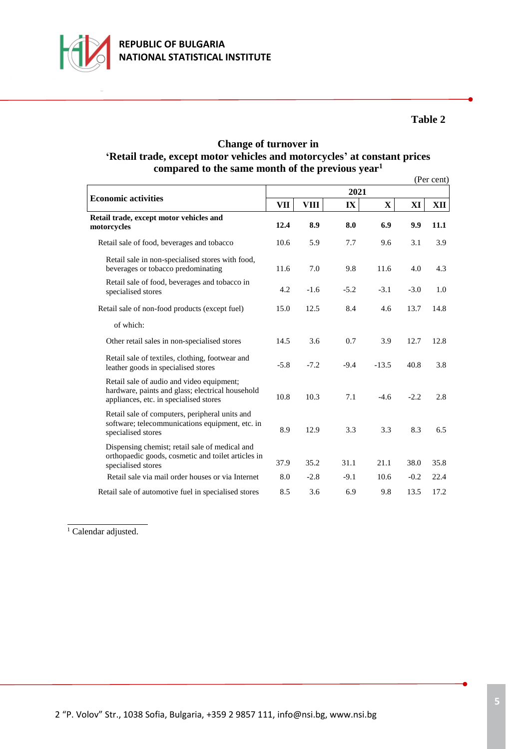

## **Table 2**

# **Change of turnover in 'Retail trade, except motor vehicles and motorcycles' at constant prices compared to the same month of the previous year<sup>1</sup>**

|                                                                                                                                         |        |             |        |         |        | (Per cent) |
|-----------------------------------------------------------------------------------------------------------------------------------------|--------|-------------|--------|---------|--------|------------|
|                                                                                                                                         |        |             | 2021   |         |        |            |
| <b>Economic activities</b>                                                                                                              | VП     | <b>VIII</b> | IX     | X       | XI     | XII        |
| Retail trade, except motor vehicles and<br>motorcycles                                                                                  | 12.4   | 8.9         | 8.0    | 6.9     | 9.9    | 11.1       |
| Retail sale of food, beverages and tobacco                                                                                              | 10.6   | 5.9         | 7.7    | 9.6     | 3.1    | 3.9        |
| Retail sale in non-specialised stores with food,<br>beverages or tobacco predominating                                                  | 11.6   | 7.0         | 9.8    | 11.6    | 4.0    | 4.3        |
| Retail sale of food, beverages and tobacco in<br>specialised stores                                                                     | 4.2    | $-1.6$      | $-5.2$ | $-3.1$  | $-3.0$ | 1.0        |
| Retail sale of non-food products (except fuel)                                                                                          | 15.0   | 12.5        | 8.4    | 4.6     | 13.7   | 14.8       |
| of which:                                                                                                                               |        |             |        |         |        |            |
| Other retail sales in non-specialised stores                                                                                            | 14.5   | 3.6         | 0.7    | 3.9     | 12.7   | 12.8       |
| Retail sale of textiles, clothing, footwear and<br>leather goods in specialised stores                                                  | $-5.8$ | $-7.2$      | $-9.4$ | $-13.5$ | 40.8   | 3.8        |
| Retail sale of audio and video equipment;<br>hardware, paints and glass; electrical household<br>appliances, etc. in specialised stores | 10.8   | 10.3        | 7.1    | $-4.6$  | $-2.2$ | 2.8        |
| Retail sale of computers, peripheral units and<br>software; telecommunications equipment, etc. in<br>specialised stores                 | 8.9    | 12.9        | 3.3    | 3.3     | 8.3    | 6.5        |
| Dispensing chemist; retail sale of medical and<br>orthopaedic goods, cosmetic and toilet articles in<br>specialised stores              | 37.9   | 35.2        | 31.1   | 21.1    | 38.0   | 35.8       |
| Retail sale via mail order houses or via Internet                                                                                       | 8.0    | $-2.8$      | $-9.1$ | 10.6    | $-0.2$ | 22.4       |
| Retail sale of automotive fuel in specialised stores                                                                                    | 8.5    | 3.6         | 6.9    | 9.8     | 13.5   | 17.2       |

 $\overline{1}$  Calendar adjusted.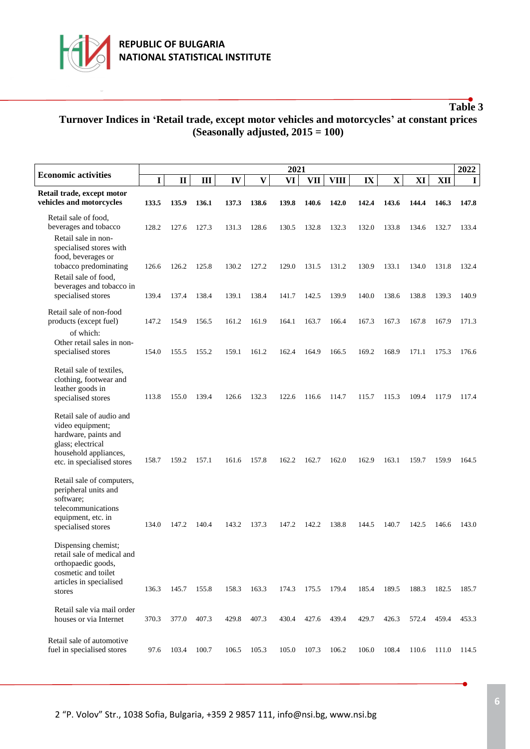

# **Table 3**

# **Turnover Indices in 'Retail trade, except motor vehicles and motorcycles' at constant prices (Seasonally adjusted, 2015 = 100)**

|                                                                                                                                                  | 2021  |              |       |       |              |       |            |             |       |              | 2022  |       |             |
|--------------------------------------------------------------------------------------------------------------------------------------------------|-------|--------------|-------|-------|--------------|-------|------------|-------------|-------|--------------|-------|-------|-------------|
| <b>Economic activities</b>                                                                                                                       | I     | $\mathbf{I}$ | III   | IV    | $\mathbf{V}$ | VI    | <b>VII</b> | <b>VIII</b> | IX    | $\mathbf{X}$ | XI    | XII   | $\mathbf I$ |
| Retail trade, except motor<br>vehicles and motorcycles                                                                                           | 133.5 | 135.9        | 136.1 | 137.3 | 138.6        | 139.8 | 140.6      | 142.0       | 142.4 | 143.6        | 144.4 | 146.3 | 147.8       |
| Retail sale of food,<br>beverages and tobacco                                                                                                    | 128.2 | 127.6        | 127.3 | 131.3 | 128.6        | 130.5 | 132.8      | 132.3       | 132.0 | 133.8        | 134.6 | 132.7 | 133.4       |
| Retail sale in non-<br>specialised stores with<br>food, beverages or<br>tobacco predominating<br>Retail sale of food,                            | 126.6 | 126.2        | 125.8 | 130.2 | 127.2        | 129.0 | 131.5      | 131.2       | 130.9 | 133.1        | 134.0 | 131.8 | 132.4       |
| beverages and tobacco in<br>specialised stores                                                                                                   | 139.4 | 137.4        | 138.4 | 139.1 | 138.4        | 141.7 | 142.5      | 139.9       | 140.0 | 138.6        | 138.8 | 139.3 | 140.9       |
| Retail sale of non-food<br>products (except fuel)                                                                                                | 147.2 | 154.9        | 156.5 | 161.2 | 161.9        | 164.1 | 163.7      | 166.4       | 167.3 | 167.3        | 167.8 | 167.9 | 171.3       |
| of which:<br>Other retail sales in non-<br>specialised stores                                                                                    | 154.0 | 155.5        | 155.2 | 159.1 | 161.2        | 162.4 | 164.9      | 166.5       | 169.2 | 168.9        | 171.1 | 175.3 | 176.6       |
| Retail sale of textiles,<br>clothing, footwear and<br>leather goods in<br>specialised stores                                                     | 113.8 | 155.0        | 139.4 | 126.6 | 132.3        | 122.6 | 116.6      | 114.7       | 115.7 | 115.3        | 109.4 | 117.9 | 117.4       |
| Retail sale of audio and<br>video equipment;<br>hardware, paints and<br>glass; electrical<br>household appliances,<br>etc. in specialised stores | 158.7 | 159.2        | 157.1 | 161.6 | 157.8        | 162.2 | 162.7      | 162.0       | 162.9 | 163.1        | 159.7 | 159.9 | 164.5       |
| Retail sale of computers,<br>peripheral units and<br>software;<br>telecommunications<br>equipment, etc. in<br>specialised stores                 | 134.0 | 147.2        | 140.4 | 143.2 | 137.3        | 147.2 | 142.2      | 138.8       | 144.5 | 140.7        | 142.5 | 146.6 | 143.0       |
| Dispensing chemist;<br>retail sale of medical and<br>orthopaedic goods,<br>cosmetic and toilet<br>articles in specialised<br>stores              | 136.3 | 145.7        | 155.8 | 158.3 | 163.3        | 174.3 | 175.5      | 179.4       | 185.4 | 189.5        | 188.3 | 182.5 | 185.7       |
| Retail sale via mail order<br>houses or via Internet                                                                                             | 370.3 | 377.0        | 407.3 | 429.8 | 407.3        | 430.4 | 427.6      | 439.4       | 429.7 | 426.3        | 572.4 | 459.4 | 453.3       |
| Retail sale of automotive<br>fuel in specialised stores                                                                                          | 97.6  | 103.4        | 100.7 | 106.5 | 105.3        | 105.0 | 107.3      | 106.2       | 106.0 | 108.4        | 110.6 | 111.0 | 114.5       |